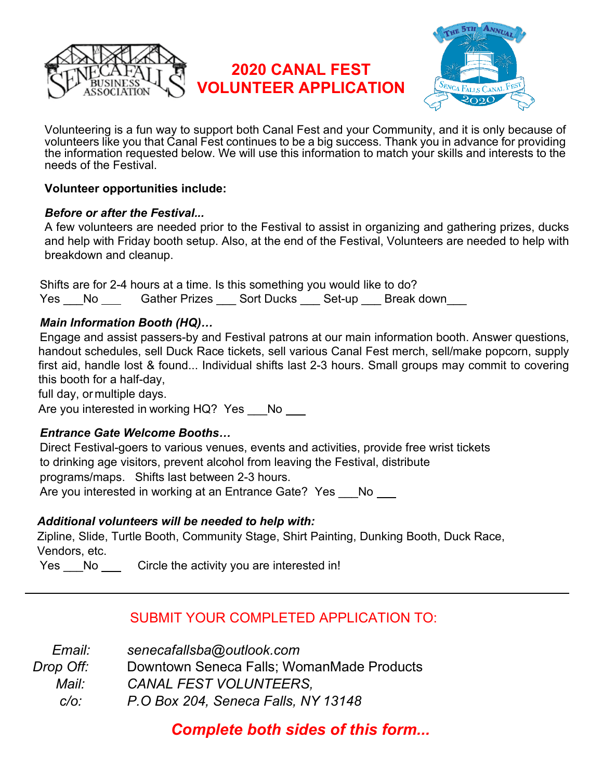

# **2020 CANAL FEST VOLUNTEER APPLICATION**



Volunteering is a fun way to support both Canal Fest and your Community, and it is only because of volunteers like you that Canal Fest continues to be a big success. Thank you in advance for providing the information requested below. We will use this information to match your skills and interests to the needs of the Festival.

#### **Volunteer opportunities include:**

#### *Before or after the Festival...*

A few volunteers are needed prior to the Festival to assist in organizing and gathering prizes, ducks and help with Friday booth setup. Also, at the end of the Festival, Volunteers are needed to help with breakdown and cleanup.

 Shifts are for 2-4 hours at a time. Is this something you would like to do? Yes No Gather Prizes Sort Ducks Set-up Break down

#### *Main Information Booth (HQ)…*

 Engage and assist passers-by and Festival patrons at our main information booth. Answer questions, handout schedules, sell Duck Race tickets, sell various Canal Fest merch, sell/make popcorn, supply first aid, handle lost & found... Individual shifts last 2-3 hours. Small groups may commit to covering this booth for a half-day,

full day, ormultiple days.

Are you interested in working HQ? Yes \_\_\_No \_\_\_

### *Entrance Gate Welcome Booths…*

 Direct Festival-goers to various venues, events and activities, provide free wrist tickets to drinking age visitors, prevent alcohol from leaving the Festival, distribute programs/maps. Shifts last between 2-3 hours. Are you interested in working at an Entrance Gate? Yes No

### *Additional volunteers will be needed to help with:*

Zipline, Slide, Turtle Booth, Community Stage, Shirt Painting, Dunking Booth, Duck Race, Vendors, etc.

Yes No Circle the activity you are interested in!

## SUBMIT YOUR COMPLETED APPLICATION TO:

| Email:    | senecafallsba@outlook.com                 |
|-----------|-------------------------------------------|
| Drop Off: | Downtown Seneca Falls; WomanMade Products |
| Mail:     | <b>CANAL FEST VOLUNTEERS.</b>             |
| C/O       | P.O Box 204, Seneca Falls, NY 13148       |

 *Complete both sides of this form...*